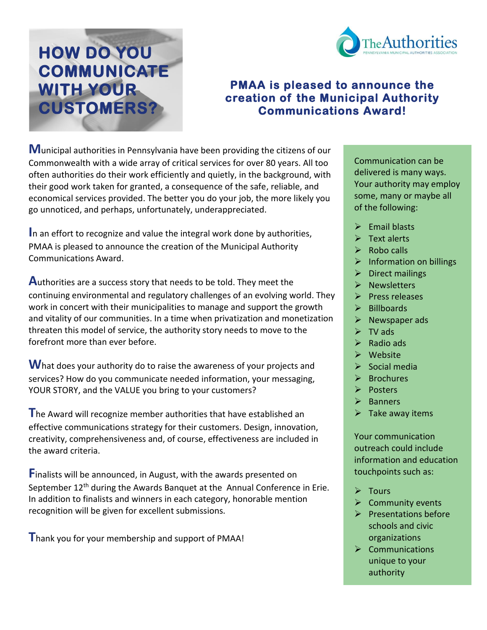

## **HOW DO YOU COMMUNICATE WITH YOUR CUSTOMERS?**

## **PMAA is pleased to announce the creation of the Municipal Authority Communications Award!**

**M**unicipal authorities in Pennsylvania have been providing the citizens of our Commonwealth with a wide array of critical services for over 80 years. All too often authorities do their work efficiently and quietly, in the background, with their good work taken for granted, a consequence of the safe, reliable, and economical services provided. The better you do your job, the more likely you go unnoticed, and perhaps, unfortunately, underappreciated.

**I**n an effort to recognize and value the integral work done by authorities, PMAA is pleased to announce the creation of the Municipal Authority Communications Award.

**A**uthorities are a success story that needs to be told. They meet the continuing environmental and regulatory challenges of an evolving world. They work in concert with their municipalities to manage and support the growth and vitality of our communities. In a time when privatization and monetization threaten this model of service, the authority story needs to move to the forefront more than ever before.

What does your authority do to raise the awareness of your projects and services? How do you communicate needed information, your messaging, YOUR STORY, and the VALUE you bring to your customers?

**T**he Award will recognize member authorities that have established an effective communications strategy for their customers. Design, innovation, creativity, comprehensiveness and, of course, effectiveness are included in the award criteria.

**F**inalists will be announced, in August, with the awards presented on September 12<sup>th</sup> during the Awards Banquet at the Annual Conference in Erie. In addition to finalists and winners in each category, honorable mention recognition will be given for excellent submissions.

**T**hank you for your membership and support of PMAA!

Communication can be delivered is many ways. Your authority may employ some, many or maybe all of the following:

- $\triangleright$  Email blasts
- $\triangleright$  Text alerts
- $\triangleright$  Robo calls
- ➢ Information on billings
- $\triangleright$  Direct mailings
- ➢ Newsletters
- ➢ Press releases
- $\triangleright$  Billboards
- $\triangleright$  Newspaper ads
- $\triangleright$  TV ads
- $\triangleright$  Radio ads
- ➢ Website
- ➢ Social media
- ➢ Brochures
- ➢ Posters
- ➢ Banners
- $\triangleright$  Take away items

Your communication outreach could include information and education touchpoints such as:

- ➢ Tours
- $\triangleright$  Community events
- ➢ Presentations before schools and civic organizations
- ➢ Communications unique to your authority